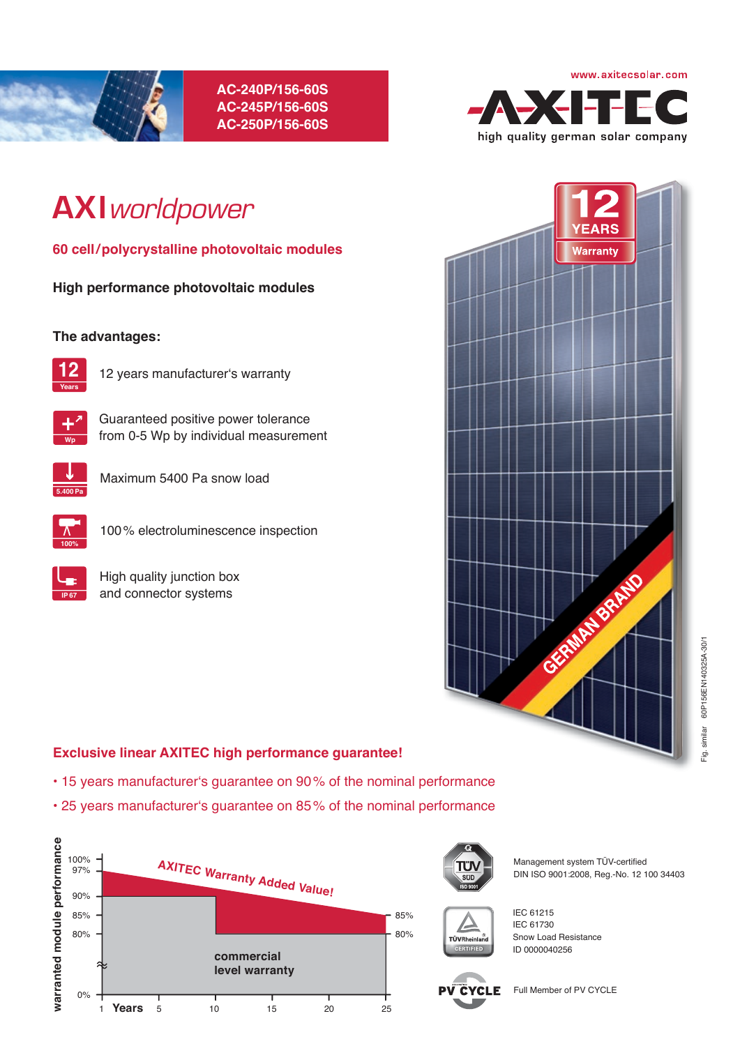

**AC-240P/156-60S AC-245P/156-60S AC-250P/156-60S**



# **AXI***worldpower*

**60 cell / polycrystalline photovoltaic modules**

**High performance photovoltaic modules** 

# **The advantages:**



12 years manufacturer's warranty



**Wp** from 0-5 Wp by individual measurement

Guaranteed positive power tolerance



Maximum 5400 Pa snow load



100 % electroluminescence inspection



High quality junction box and connector systems



# **Exclusive linear AXITEC high performance guarantee!**

- 15 years manufacturer's guarantee on 90 % of the nominal performance
- 25 years manufacturer's guarantee on 85 % of the nominal performance





Management system TÜV-certified DIN ISO 9001:2008, Reg.-No. 12 100 34403

IEC 61215 IEC 61730 ID 0000040256



Snow Load Resistance

Full Member of PV CYCLE